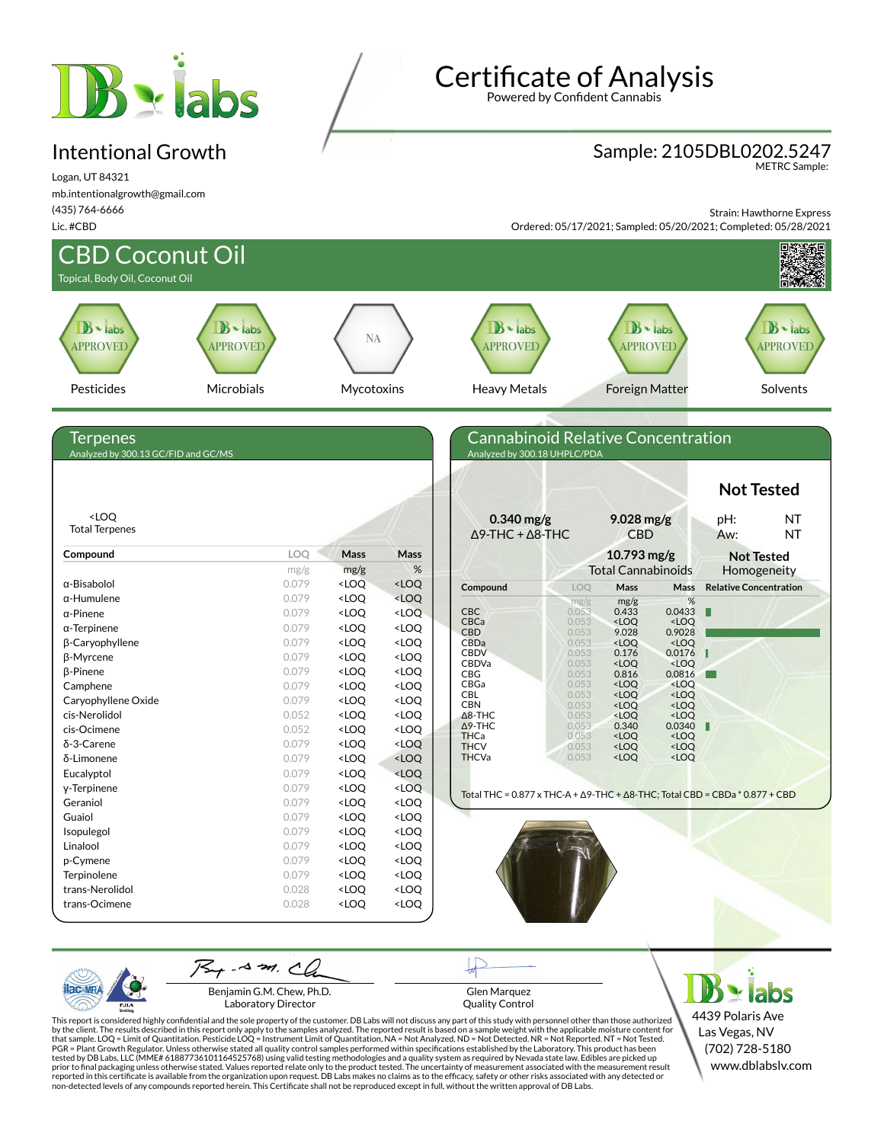# B viabs

### Intentional Growth

Logan, UT 84321 mb.intentionalgrowth@gmail.com (435) 764-6666 Lic. #CBD

**Certificate of Analysis** 

Powered by Confident Cannabis

## Sample: 2105DBL0202.5247 METRC Sample:

Strain: Hawthorne Express

Ordered: 05/17/2021; Sampled: 05/20/2021; Completed: 05/28/2021





Benjamin G.M. Chew, Ph.D. Laboratory Director

Glen Marquez Quality Control

4439 Polaris Ave Las Vegas, NV (702) 728-5180 www.dblabslv.com

This report is considered highly confidential and the sole property of the customer. DB Labs will not discuss any part of this study with personnel other than those authorized<br>by the client. The results described in this r tested by DB Labs, LLC (MME# 61887736101164525768) using valid testing methodologies and a quality system as required by Nevada state law. Edibles are picked up<br>prior to final packaging unless otherwise stated. Values repo